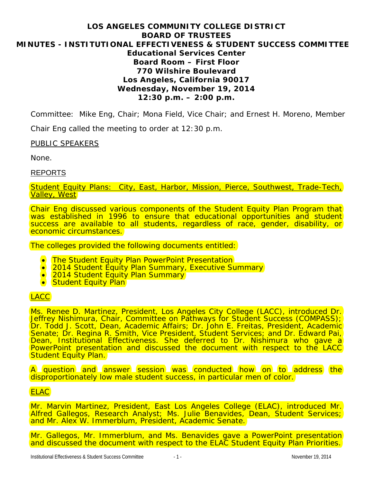# **LOS ANGELES COMMUNITY COLLEGE DISTRICT BOARD OF TRUSTEES MINUTES - INSTITUTIONAL EFFECTIVENESS & STUDENT SUCCESS COMMITTEE Educational Services Center Board Room – First Floor 770 Wilshire Boulevard Los Angeles, California 90017 Wednesday, November 19, 2014 12:30 p.m. – 2:00 p.m.**

Committee: Mike Eng, Chair; Mona Field, Vice Chair; and Ernest H. Moreno, Member

Chair Eng called the meeting to order at 12:30 p.m.

## PUBLIC SPEAKERS

None.

## REPORTS

Student Equity Plans: City, East, Harbor, Mission, Pierce, Southwest, Trade-Tech, Valley, West

Chair Eng discussed various components of the Student Equity Plan Program that was established in 1996 to ensure that educational opportunities and student success are available to all students, regardless of race, gender, disability, or economic circumstances.

The colleges provided the following documents entitled:

- The Student Equity Plan PowerPoint Presentation
- 2014 Student Equity Plan Summary, Executive Summary
- 2014 Student Equity Plan Summary
- Student Equity Plan

# LACC

Ms. Renee D. Martinez, President, Los Angeles City College (LACC), introduced Dr. Jeffrey Nishimura, Chair, Committee on Pathways for Student Success (COMPASS); Dr. Todd J. Scott, Dean, Academic Affairs; Dr. John E. Freitas, President, Academic Senate; Dr. Regina R. Smith, Vice President, Student Services; and Dr. Edward Pai, Dean, Institutional Effectiveness. She deferred to Dr. Nishimura who gave a PowerPoint presentation and discussed the document with respect to the LACC **Student Equity Plan.** 

A question and answer session was conducted how on to address the disproportionately low male student success, in particular men of color.

# ELAC

Mr. Marvin Martinez, President, East Los Angeles College (ELAC), introduced Mr. Alfred Gallegos, Research Analyst; Ms. Julie Benavides, Dean, Student Services; and Mr. Alex W. Immerblum, President, Academic Senate.

Mr. Gallegos, Mr. Immerblum, and Ms. Benavides gave a PowerPoint presentation and discussed the document with respect to the ELAC Student Equity Plan Priorities.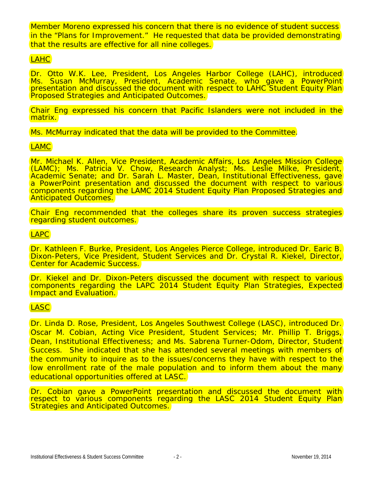Member Moreno expressed his concern that there is no evidence of student success in the "Plans for Improvement." He requested that data be provided demonstrating that the results are effective for all nine colleges.

# LAHC

Dr. Otto W.K. Lee, President, Los Angeles Harbor College (LAHC), introduced Ms. Susan McMurray, President, Academic Senate, who gave a PowerPoint presentation and discussed the document with respect to LAHC Student Equity Plan Proposed Strategies and Anticipated Outcomes.

Chair Eng expressed his concern that Pacific Islanders were not included in the matrix.

Ms. McMurray indicated that the data will be provided to the Committee.

# LAMC

Mr. Michael K. Allen, Vice President, Academic Affairs, Los Angeles Mission College (LAMC); Ms. Patricia V. Chow, Research Analyst; Ms. Leslie Milke, President, Academic Senate; and Dr. Sarah L. Master, Dean, Institutional Effectiveness, gave a PowerPoint presentation and discussed the document with respect to various components regarding the LAMC 2014 Student Equity Plan Proposed Strategies and Anticipated Outcomes.

Chair Eng recommended that the colleges share its proven success strategies regarding student outcomes.

# LAPC

Dr. Kathleen F. Burke, President, Los Angeles Pierce College, introduced Dr. Earic B. Dixon-Peters, Vice President, Student Services and Dr. Crystal R. Kiekel, Director, **Center for Academic Success.** 

Dr. Kiekel and Dr. Dixon-Peters discussed the document with respect to various components regarding the LAPC 2014 Student Equity Plan Strategies, Expected **Impact and Evaluation.** 

## LASC

Dr. Linda D. Rose, President, Los Angeles Southwest College (LASC), introduced Dr. Oscar M. Cobian, Acting Vice President, Student Services; Mr. Phillip T. Briggs, Dean, Institutional Effectiveness; and Ms. Sabrena Turner-Odom, Director, Student Success. She indicated that she has attended several meetings with members of the community to inquire as to the issues/concerns they have with respect to the low enrollment rate of the male population and to inform them about the many educational opportunities offered at LASC.

Dr. Cobian gave a PowerPoint presentation and discussed the document with respect to various components regarding the LASC 2014 Student Equity Plan **Strategies and Anticipated Outcomes.**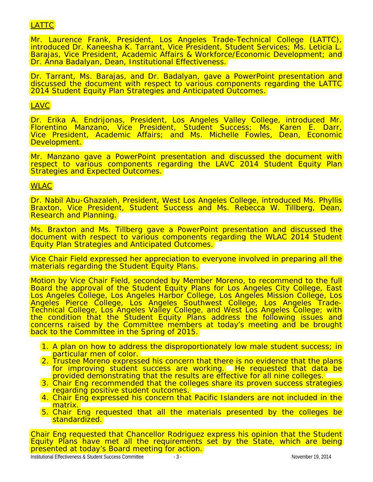# LATTC

Mr. Laurence Frank, President, Los Angeles Trade-Technical College (LATTC), introduced Dr. Kaneesha K. Tarrant, Vice President, Student Services; Ms. Leticia L. Barajas, Vice President, Academic Affairs & Workforce/Economic Development; and Dr. Anna Badalyan, Dean, Institutional Effectiveness.

Dr. Tarrant, Ms. Barajas, and Dr. Badalyan, gave a PowerPoint presentation and discussed the document with respect to various components regarding the LATTC 2014 Student Equity Plan Strategies and Anticipated Outcomes.

## LAVC

Dr. Erika A. Endrijonas, President, Los Angeles Valley College, introduced Mr. Florentino Manzano, Vice President, Student Success; Ms. Karen E. Darr, Vice President, Academic Affairs; and Ms. Michelle Fowles, Dean, Economic Development.

Mr. Manzano gave a PowerPoint presentation and discussed the document with respect to various components regarding the LAVC 2014 Student Equity Plan Strategies and Expected Outcomes.

## **WLAC**

Dr. Nabil Abu-Ghazaleh, President, West Los Angeles College, introduced Ms. Phyllis Braxton, Vice President, Student Success and Ms. Rebecca W. Tillberg, Dean, Research and Planning.

Ms. Braxton and Ms. Tillberg gave a PowerPoint presentation and discussed the document with respect to various components regarding the WLAC 2014 Student Equity Plan Strategies and Anticipated Outcomes.

Vice Chair Field expressed her appreciation to everyone involved in preparing all the materials regarding the Student Equity Plans.

Motion by Vice Chair Field, seconded by Member Moreno, to recommend to the full Board the approval of the Student Equity Plans for Los Angeles City College, East Los Angeles College, Los Angeles Harbor College, Los Angeles Mission College, Los Angeles Pierce College, Los Angeles Southwest College, Los Angeles Trade-<br>Technical College, Los Angeles Valley College, and West Los Angeles College; with the condition that the Student Equity Plans address the following issues and concerns raised by the Committee members at today's meeting and be brought back to the Committee in the Spring of 2015.

- 1. A plan on how to address the disproportionately low male student success; in **particular men of color.**
- 2. Trustee Moreno expressed his concern that there is no evidence that the plans for improving student success are working. He requested that data be provided demonstrating that the results are effective for all nine colleges.
- 3. Chair Eng recommended that the colleges share its proven success strategies regarding positive student outcomes.
- 4. Chair Eng expressed his concern that Pacific Islanders are not included in the matrix.
- 5. Chair Eng requested that all the materials presented by the colleges be standardized.

Chair Eng requested that Chancellor Rodriguez express his opinion that the Student Equity Plans have met all the requirements set by the State, which are being presented at today's Board meeting for action.